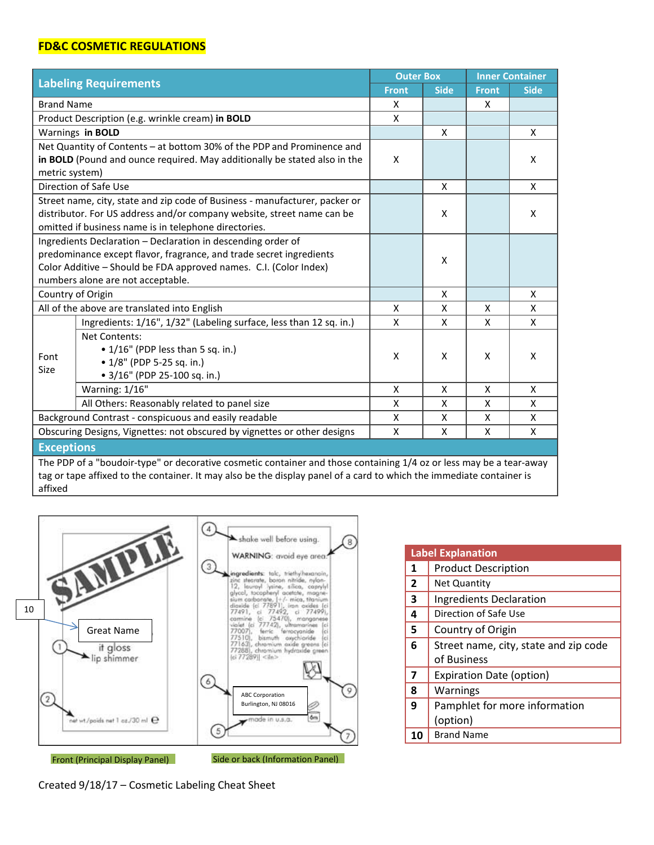## **FD&C COSMETIC REGULATIONS**

affixed

| <b>Labeling Requirements</b>                                                                                         |                                                                           | <b>Outer Box</b> |             | <b>Inner Container</b> |             |
|----------------------------------------------------------------------------------------------------------------------|---------------------------------------------------------------------------|------------------|-------------|------------------------|-------------|
|                                                                                                                      |                                                                           | <b>Front</b>     | <b>Side</b> | <b>Front</b>           | <b>Side</b> |
| <b>Brand Name</b>                                                                                                    |                                                                           | X                |             | Χ                      |             |
| Product Description (e.g. wrinkle cream) in BOLD                                                                     |                                                                           |                  |             |                        |             |
|                                                                                                                      | Warnings in <b>BOLD</b>                                                   |                  | X           |                        | X           |
| Net Quantity of Contents - at bottom 30% of the PDP and Prominence and                                               |                                                                           |                  |             |                        |             |
|                                                                                                                      | in BOLD (Pound and ounce required. May additionally be stated also in the | X                |             |                        | X           |
| metric system)                                                                                                       |                                                                           |                  |             |                        |             |
|                                                                                                                      | Direction of Safe Use                                                     |                  | X           |                        | X           |
| Street name, city, state and zip code of Business - manufacturer, packer or                                          |                                                                           |                  |             |                        |             |
|                                                                                                                      | distributor. For US address and/or company website, street name can be    |                  | X           |                        | X           |
|                                                                                                                      | omitted if business name is in telephone directories.                     |                  |             |                        |             |
|                                                                                                                      | Ingredients Declaration - Declaration in descending order of              |                  | X           |                        |             |
|                                                                                                                      | predominance except flavor, fragrance, and trade secret ingredients       |                  |             |                        |             |
|                                                                                                                      | Color Additive - Should be FDA approved names. C.I. (Color Index)         |                  |             |                        |             |
| numbers alone are not acceptable.                                                                                    |                                                                           |                  |             |                        |             |
| Country of Origin                                                                                                    |                                                                           |                  | X           |                        | X           |
| All of the above are translated into English                                                                         |                                                                           | X                | X           | Χ                      | X           |
|                                                                                                                      | Ingredients: 1/16", 1/32" (Labeling surface, less than 12 sq. in.)        | X                | X           | $\mathsf{x}$           | X           |
|                                                                                                                      | <b>Net Contents:</b>                                                      |                  | X           | X                      | X           |
| Font                                                                                                                 | • 1/16" (PDP less than 5 sq. in.)                                         | X                |             |                        |             |
| Size                                                                                                                 | • 1/8" (PDP 5-25 sq. in.)                                                 |                  |             |                        |             |
|                                                                                                                      | • 3/16" (PDP 25-100 sq. in.)                                              |                  |             |                        |             |
|                                                                                                                      | Warning: 1/16"                                                            | X                | X           | X                      | X           |
|                                                                                                                      | All Others: Reasonably related to panel size                              | X                | X           | X                      | X           |
| Background Contrast - conspicuous and easily readable                                                                |                                                                           | X                | X           | Χ                      | X           |
| Obscuring Designs, Vignettes: not obscured by vignettes or other designs                                             |                                                                           |                  | X           | X                      | X           |
| <b>Exceptions</b>                                                                                                    |                                                                           |                  |             |                        |             |
| The PDP of a "boudoir-type" or decorative cosmetic container and those containing 1/4 oz or less may be a tear-away  |                                                                           |                  |             |                        |             |
| tag or tape affixed to the container. It may also be the display panel of a card to which the immediate container is |                                                                           |                  |             |                        |             |



| <b>Label Explanation</b> |                                       |  |  |
|--------------------------|---------------------------------------|--|--|
| 1                        | <b>Product Description</b>            |  |  |
| $\overline{2}$           | <b>Net Quantity</b>                   |  |  |
| 3                        | <b>Ingredients Declaration</b>        |  |  |
| 4                        | Direction of Safe Use                 |  |  |
| 5                        | Country of Origin                     |  |  |
| 6                        | Street name, city, state and zip code |  |  |
|                          | of Business                           |  |  |
| 7                        | <b>Expiration Date (option)</b>       |  |  |
| 8                        | Warnings                              |  |  |
| 9                        | Pamphlet for more information         |  |  |
|                          | (option)                              |  |  |
| 10                       | <b>Brand Name</b>                     |  |  |

Created 9/18/17 – Cosmetic Labeling Cheat Sheet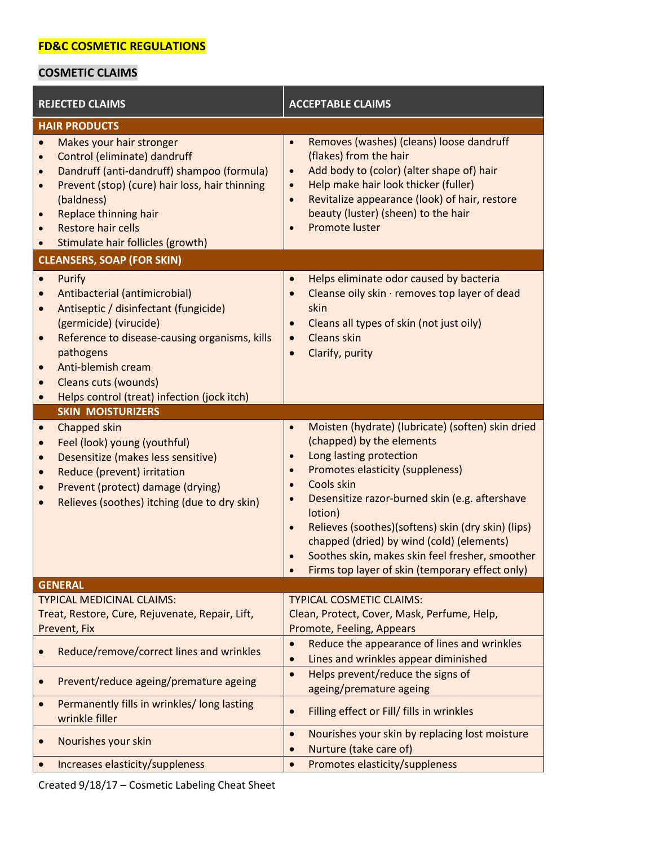## **COSMETIC CLAIMS**

| <b>REJECTED CLAIMS</b>                                                                                                                                                                                                                                                                                                                                           | <b>ACCEPTABLE CLAIMS</b>                                                                                                                                                                                                                                                                                                                                                                                                                                                                                        |  |  |  |  |
|------------------------------------------------------------------------------------------------------------------------------------------------------------------------------------------------------------------------------------------------------------------------------------------------------------------------------------------------------------------|-----------------------------------------------------------------------------------------------------------------------------------------------------------------------------------------------------------------------------------------------------------------------------------------------------------------------------------------------------------------------------------------------------------------------------------------------------------------------------------------------------------------|--|--|--|--|
| <b>HAIR PRODUCTS</b>                                                                                                                                                                                                                                                                                                                                             |                                                                                                                                                                                                                                                                                                                                                                                                                                                                                                                 |  |  |  |  |
| Makes your hair stronger<br>$\bullet$<br>Control (eliminate) dandruff<br>$\bullet$<br>Dandruff (anti-dandruff) shampoo (formula)<br>$\bullet$<br>Prevent (stop) (cure) hair loss, hair thinning<br>$\bullet$<br>(baldness)<br><b>Replace thinning hair</b><br>$\bullet$<br><b>Restore hair cells</b><br>$\bullet$<br>Stimulate hair follicles (growth)           | Removes (washes) (cleans) loose dandruff<br>$\bullet$<br>(flakes) from the hair<br>Add body to (color) (alter shape of) hair<br>$\bullet$<br>Help make hair look thicker (fuller)<br>$\bullet$<br>Revitalize appearance (look) of hair, restore<br>$\bullet$<br>beauty (luster) (sheen) to the hair<br>Promote luster                                                                                                                                                                                           |  |  |  |  |
| <b>CLEANSERS, SOAP (FOR SKIN)</b>                                                                                                                                                                                                                                                                                                                                |                                                                                                                                                                                                                                                                                                                                                                                                                                                                                                                 |  |  |  |  |
| Purify<br>$\bullet$<br>Antibacterial (antimicrobial)<br>$\bullet$<br>Antiseptic / disinfectant (fungicide)<br>$\bullet$<br>(germicide) (virucide)<br>Reference to disease-causing organisms, kills<br>$\bullet$<br>pathogens<br>Anti-blemish cream<br>$\bullet$<br>Cleans cuts (wounds)<br>$\bullet$<br>Helps control (treat) infection (jock itch)<br>$\bullet$ | Helps eliminate odor caused by bacteria<br>Cleanse oily skin · removes top layer of dead<br>$\bullet$<br>skin<br>Cleans all types of skin (not just oily)<br>$\bullet$<br>Cleans skin<br>$\bullet$<br>Clarify, purity<br>$\bullet$                                                                                                                                                                                                                                                                              |  |  |  |  |
| <b>SKIN MOISTURIZERS</b>                                                                                                                                                                                                                                                                                                                                         |                                                                                                                                                                                                                                                                                                                                                                                                                                                                                                                 |  |  |  |  |
| Chapped skin<br>$\bullet$<br>Feel (look) young (youthful)<br>$\bullet$<br>Desensitize (makes less sensitive)<br>$\bullet$<br>Reduce (prevent) irritation<br>$\bullet$<br>Prevent (protect) damage (drying)<br>$\bullet$<br>Relieves (soothes) itching (due to dry skin)<br>$\bullet$                                                                             | Moisten (hydrate) (lubricate) (soften) skin dried<br>$\bullet$<br>(chapped) by the elements<br>Long lasting protection<br>$\bullet$<br>Promotes elasticity (suppleness)<br>$\bullet$<br>Cools skin<br>$\bullet$<br>Desensitize razor-burned skin (e.g. aftershave<br>$\bullet$<br>lotion)<br>Relieves (soothes)(softens) skin (dry skin) (lips)<br>$\bullet$<br>chapped (dried) by wind (cold) (elements)<br>Soothes skin, makes skin feel fresher, smoother<br>Firms top layer of skin (temporary effect only) |  |  |  |  |
| <b>GENERAL</b>                                                                                                                                                                                                                                                                                                                                                   |                                                                                                                                                                                                                                                                                                                                                                                                                                                                                                                 |  |  |  |  |
| <b>TYPICAL MEDICINAL CLAIMS:</b><br>Treat, Restore, Cure, Rejuvenate, Repair, Lift,<br>Prevent, Fix                                                                                                                                                                                                                                                              | <b>TYPICAL COSMETIC CLAIMS:</b><br>Clean, Protect, Cover, Mask, Perfume, Help,<br>Promote, Feeling, Appears                                                                                                                                                                                                                                                                                                                                                                                                     |  |  |  |  |
| Reduce/remove/correct lines and wrinkles                                                                                                                                                                                                                                                                                                                         | Reduce the appearance of lines and wrinkles<br>$\bullet$<br>Lines and wrinkles appear diminished                                                                                                                                                                                                                                                                                                                                                                                                                |  |  |  |  |
| Prevent/reduce ageing/premature ageing                                                                                                                                                                                                                                                                                                                           | Helps prevent/reduce the signs of<br>$\bullet$<br>ageing/premature ageing                                                                                                                                                                                                                                                                                                                                                                                                                                       |  |  |  |  |
| Permanently fills in wrinkles/long lasting<br>wrinkle filler                                                                                                                                                                                                                                                                                                     | Filling effect or Fill/ fills in wrinkles                                                                                                                                                                                                                                                                                                                                                                                                                                                                       |  |  |  |  |
| Nourishes your skin                                                                                                                                                                                                                                                                                                                                              | Nourishes your skin by replacing lost moisture<br>$\bullet$<br>Nurture (take care of)                                                                                                                                                                                                                                                                                                                                                                                                                           |  |  |  |  |
| Increases elasticity/suppleness                                                                                                                                                                                                                                                                                                                                  | Promotes elasticity/suppleness<br>$\bullet$                                                                                                                                                                                                                                                                                                                                                                                                                                                                     |  |  |  |  |

Created 9/18/17 – Cosmetic Labeling Cheat Sheet